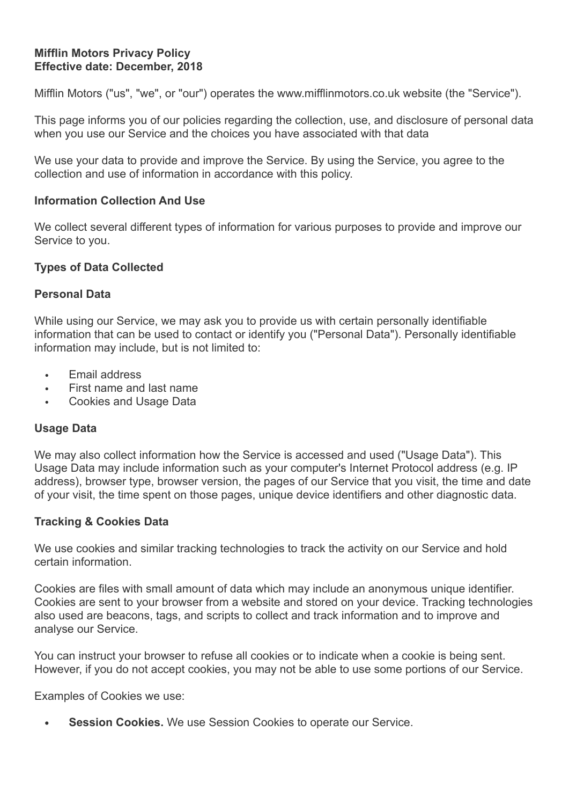## **Mifflin Motors Privacy Policy Effective date: December, 2018**

Mifflin Motors ("us", "we", or "our") operates the www.mifflinmotors.co.uk website (the "Service").

This page informs you of our policies regarding the collection, use, and disclosure of personal data when you use our Service and the choices you have associated with that data

We use your data to provide and improve the Service. By using the Service, you agree to the collection and use of information in accordance with this policy.

## **Information Collection And Use**

We collect several different types of information for various purposes to provide and improve our Service to you.

### **Types of Data Collected**

### **Personal Data**

While using our Service, we may ask you to provide us with certain personally identifiable information that can be used to contact or identify you ("Personal Data"). Personally identifiable information may include, but is not limited to:

- Email address
- First name and last name
- Cookies and Usage Data

## **Usage Data**

We may also collect information how the Service is accessed and used ("Usage Data"). This Usage Data may include information such as your computer's Internet Protocol address (e.g. IP address), browser type, browser version, the pages of our Service that you visit, the time and date of your visit, the time spent on those pages, unique device identifiers and other diagnostic data.

## **Tracking & Cookies Data**

We use cookies and similar tracking technologies to track the activity on our Service and hold certain information.

Cookies are files with small amount of data which may include an anonymous unique identifier. Cookies are sent to your browser from a website and stored on your device. Tracking technologies also used are beacons, tags, and scripts to collect and track information and to improve and analyse our Service.

You can instruct your browser to refuse all cookies or to indicate when a cookie is being sent. However, if you do not accept cookies, you may not be able to use some portions of our Service.

Examples of Cookies we use:

**Session Cookies.** We use Session Cookies to operate our Service.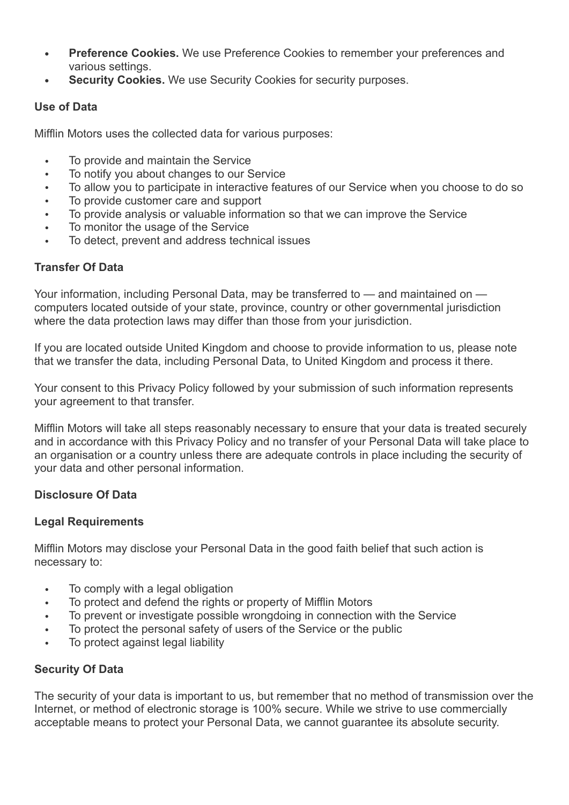- **• Preference Cookies.** We use Preference Cookies to remember your preferences and various settings.
- **• Security Cookies.** We use Security Cookies for security purposes.

# **Use of Data**

Mifflin Motors uses the collected data for various purposes:

- To provide and maintain the Service
- To notify you about changes to our Service
- To allow you to participate in interactive features of our Service when you choose to do so
- To provide customer care and support
- To provide analysis or valuable information so that we can improve the Service
- To monitor the usage of the Service
- To detect, prevent and address technical issues

# **Transfer Of Data**

Your information, including Personal Data, may be transferred to — and maintained on computers located outside of your state, province, country or other governmental jurisdiction where the data protection laws may differ than those from your jurisdiction.

If you are located outside United Kingdom and choose to provide information to us, please note that we transfer the data, including Personal Data, to United Kingdom and process it there.

Your consent to this Privacy Policy followed by your submission of such information represents your agreement to that transfer.

Mifflin Motors will take all steps reasonably necessary to ensure that your data is treated securely and in accordance with this Privacy Policy and no transfer of your Personal Data will take place to an organisation or a country unless there are adequate controls in place including the security of your data and other personal information.

# **Disclosure Of Data**

## **Legal Requirements**

Mifflin Motors may disclose your Personal Data in the good faith belief that such action is necessary to:

- To comply with a legal obligation
- To protect and defend the rights or property of Mifflin Motors
- To prevent or investigate possible wrongdoing in connection with the Service
- To protect the personal safety of users of the Service or the public
- To protect against legal liability

# **Security Of Data**

The security of your data is important to us, but remember that no method of transmission over the Internet, or method of electronic storage is 100% secure. While we strive to use commercially acceptable means to protect your Personal Data, we cannot guarantee its absolute security.